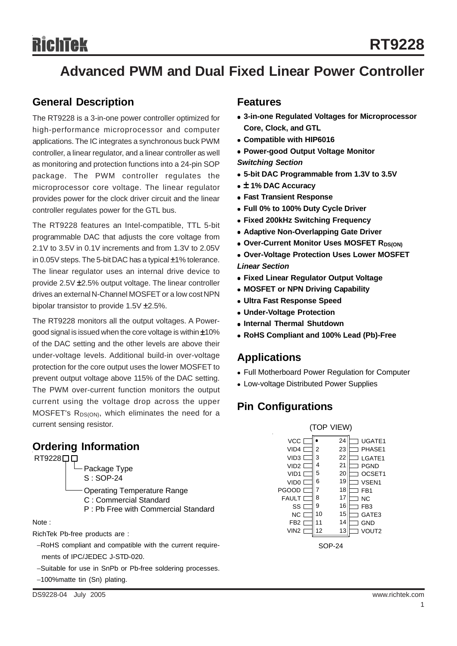# Richtek

## **Advanced PWM and Dual Fixed Linear Power Controller**

## **General Description**

The RT9228 is a 3-in-one power controller optimized for high-performance microprocessor and computer applications. The IC integrates a synchronous buck PWM controller, a linear regulator, and a linear controller as well as monitoring and protection functions into a 24-pin SOP package. The PWM controller regulates the microprocessor core voltage. The linear regulator provides power for the clock driver circuit and the linear controller regulates power for the GTL bus.

The RT9228 features an Intel-compatible, TTL 5-bit programmable DAC that adjusts the core voltage from 2.1V to 3.5V in 0.1V increments and from 1.3V to 2.05V in 0.05V steps. The 5-bit DAC has a typical ±1% tolerance. The linear regulator uses an internal drive device to provide 2.5V ±2.5% output voltage. The linear controller drives an external N-Channel MOSFET or a low cost NPN bipolar transistor to provide 1.5V ±2.5%.

The RT9228 monitors all the output voltages. A Powergood signal is issued when the core voltage is within ±10% of the DAC setting and the other levels are above their under-voltage levels. Additional build-in over-voltage protection for the core output uses the lower MOSFET to prevent output voltage above 115% of the DAC setting. The PWM over-current function monitors the output current using the voltage drop across the upper MOSFET's R<sub>DS(ON)</sub>, which eliminates the need for a current sensing resistor. (TOP VIEW)

## **Ordering Information**

RT9228<sup>[1]</sup>



#### Note :

RichTek Pb-free products are :

−RoHS compliant and compatible with the current require ments of IPC/JEDEC J-STD-020.

- −Suitable for use in SnPb or Pb-free soldering processes.
- −100%matte tin (Sn) plating.

### **Features**

- $\bullet$  **3-in-one Regulated Voltages for Microprocessor Core, Clock, and GTL**
- <sup>z</sup> **Compatible with HIP6016**
- **Power-good Output Voltage Monitor**

*Switching Section*

- <sup>z</sup> **5-bit DAC Programmable from 1.3V to 3.5V**
- <sup>z</sup> ± **1% DAC Accuracy**
- **Fast Transient Response**
- <sup>z</sup> **Full 0% to 100% Duty Cycle Driver**
- **Fixed 200kHz Switching Frequency**
- **Adaptive Non-Overlapping Gate Driver**
- **Over-Current Monitor Uses MOSFET RDS(ON)**
- **Over-Voltage Protection Uses Lower MOSFET** *Linear Section*
- **Fixed Linear Regulator Output Voltage**
- **MOSFET or NPN Driving Capability**
- **Ultra Fast Response Speed**
- <sup>z</sup> **Under-Voltage Protection**
- **Internal Thermal Shutdown**
- <sup>z</sup> **RoHS Compliant and 100% Lead (Pb)-Free**

## **Applications**

- Full Motherboard Power Regulation for Computer
- Low-voltage Distributed Power Supplies

## **Pin Configurations**

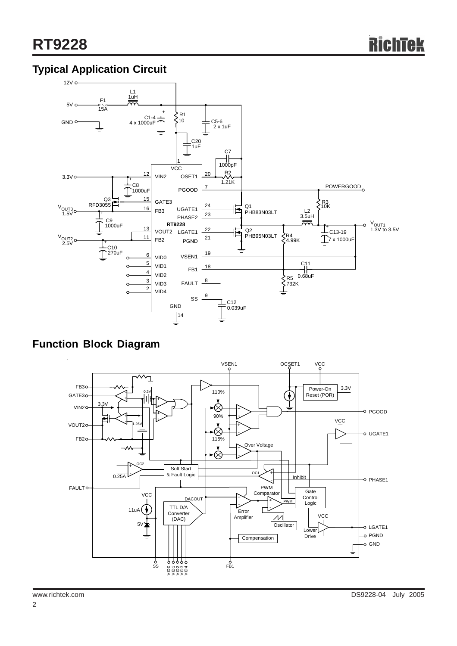## **Typical Application Circuit**



**Function Block Diagram**

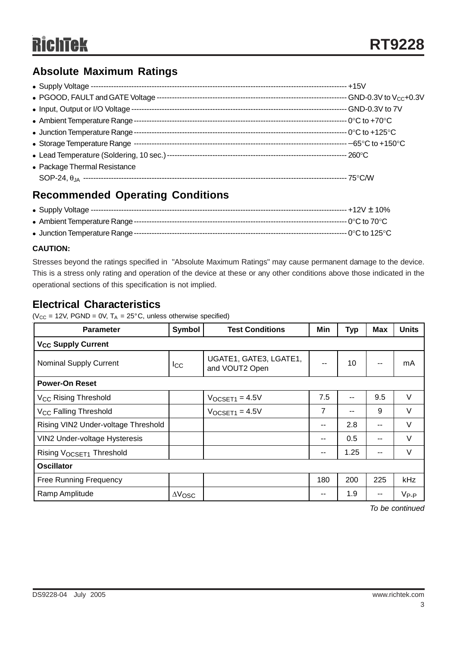## **Absolute Maximum Ratings**

|                                | $+15V$ |
|--------------------------------|--------|
|                                |        |
| • Input, Output or I/O Voltage |        |
|                                |        |
|                                |        |
|                                |        |
|                                |        |
| • Package Thermal Resistance   |        |
|                                |        |

## **Recommended Operating Conditions**

#### **CAUTION:**

Stresses beyond the ratings specified in "Absolute Maximum Ratings" may cause permanent damage to the device. This is a stress only rating and operation of the device at these or any other conditions above those indicated in the operational sections of this specification is not implied.

## **Electrical Characteristics**

( $V_{CC}$  = 12V, PGND = 0V, T<sub>A</sub> = 25°C, unless otherwise specified)

| <b>Parameter</b>                     | Symbol                | <b>Test Conditions</b>                   |     | <b>Typ</b> | <b>Max</b> | <b>Units</b> |  |  |
|--------------------------------------|-----------------------|------------------------------------------|-----|------------|------------|--------------|--|--|
| <b>V<sub>CC</sub> Supply Current</b> |                       |                                          |     |            |            |              |  |  |
| <b>Nominal Supply Current</b>        | Icc                   | UGATE1, GATE3, LGATE1,<br>and VOUT2 Open |     | 10         |            | mA           |  |  |
| <b>Power-On Reset</b>                |                       |                                          |     |            |            |              |  |  |
| V <sub>CC</sub> Rising Threshold     |                       | $V$ OCSET <sub>1</sub> = 4.5 $V$         | 7.5 | --         | 9.5        | $\vee$       |  |  |
| V <sub>CC</sub> Falling Threshold    |                       | $V$ OCSET <sub>1</sub> = 4.5 $V$         |     | --         | 9          | V            |  |  |
| Rising VIN2 Under-voltage Threshold  |                       |                                          |     | 2.8        | --         | $\vee$       |  |  |
| VIN2 Under-voltage Hysteresis        |                       |                                          | --  | 0.5        |            | $\vee$       |  |  |
| Rising VOCSET1 Threshold             |                       |                                          | --  | 1.25       | --         | $\vee$       |  |  |
| <b>Oscillator</b>                    |                       |                                          |     |            |            |              |  |  |
| <b>Free Running Frequency</b>        |                       |                                          | 180 | 200        | 225        | kHz          |  |  |
| Ramp Amplitude                       | $\Delta V_{\rm{OSC}}$ |                                          | --  | 1.9        | --         | $V_{P-P}$    |  |  |

*To be continued*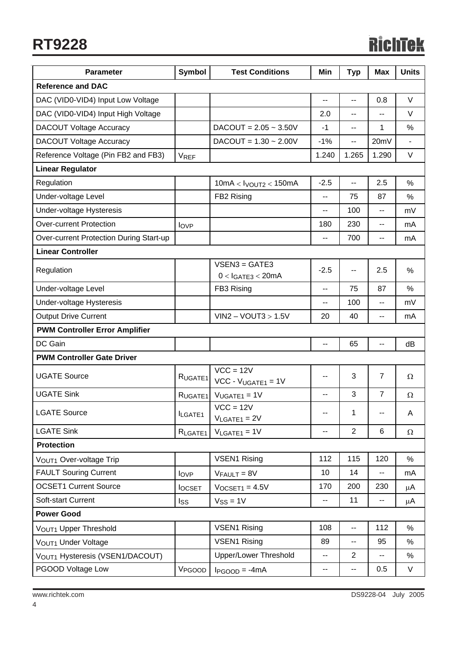## **RT9228**

# **RichTek**

| <b>Parameter</b>                               | <b>Symbol</b>                | <b>Test Conditions</b>                  | Min                      | <b>Typ</b>               | Max                      | <b>Units</b>  |  |
|------------------------------------------------|------------------------------|-----------------------------------------|--------------------------|--------------------------|--------------------------|---------------|--|
| <b>Reference and DAC</b>                       |                              |                                         |                          |                          |                          |               |  |
| DAC (VID0-VID4) Input Low Voltage              |                              |                                         | --                       | --                       | 0.8                      | V             |  |
| DAC (VID0-VID4) Input High Voltage             |                              |                                         |                          | $\overline{\phantom{a}}$ | --                       | V             |  |
| <b>DACOUT Voltage Accuracy</b>                 |                              | $DACOUT = 2.05 ~ 3.50V$                 | $-1$                     | $\overline{\phantom{a}}$ | 1                        | %             |  |
| <b>DACOUT Voltage Accuracy</b>                 |                              | $DACOUT = 1.30 - 2.00V$                 | $-1%$                    | $-$                      | 20mV                     |               |  |
| Reference Voltage (Pin FB2 and FB3)            | <b>VREF</b>                  |                                         | 1.240                    | 1.265                    | 1.290                    | V             |  |
| <b>Linear Regulator</b>                        |                              |                                         |                          |                          |                          |               |  |
| Regulation                                     |                              | $10mA <$ Ivoutz $<$ 150mA               | $-2.5$                   | $\overline{\phantom{a}}$ | 2.5                      | $\frac{0}{0}$ |  |
| Under-voltage Level                            |                              | FB2 Rising                              | $\overline{a}$           | 75                       | 87                       | $\frac{0}{0}$ |  |
| Under-voltage Hysteresis                       |                              |                                         | $\overline{a}$           | 100                      | $\overline{\phantom{a}}$ | mV            |  |
| <b>Over-current Protection</b>                 | $I_{OVP}$                    |                                         | 180                      | 230                      | --                       | mA            |  |
| <b>Over-current Protection During Start-up</b> |                              |                                         | $\overline{\phantom{m}}$ | 700                      | $-$                      | mA            |  |
| <b>Linear Controller</b>                       |                              |                                         |                          |                          |                          |               |  |
| Regulation                                     |                              | $VSEN3 = GATE3$<br>$0 < I$ GATE3 < 20mA | $-2.5$                   | --                       | 2.5                      | $\frac{0}{0}$ |  |
| Under-voltage Level                            |                              | FB3 Rising                              | $\overline{\phantom{a}}$ | 75                       | 87                       | %             |  |
| Under-voltage Hysteresis                       |                              |                                         | --                       | 100                      | --                       | mV            |  |
| <b>Output Drive Current</b>                    |                              | $V$ IN2 - VOUT3 > 1.5V                  |                          | 40                       | --                       | mA            |  |
| <b>PWM Controller Error Amplifier</b>          |                              |                                         | 20                       |                          |                          |               |  |
| DC Gain                                        |                              |                                         | $\overline{\phantom{a}}$ | 65                       | --                       | dB            |  |
| <b>PWM Controller Gate Driver</b>              |                              |                                         |                          |                          |                          |               |  |
| <b>UGATE Source</b>                            | RUGATE <sub>1</sub>          | $VCC = 12V$<br>$VCC - VUGATE1 = 1V$     | $-$                      | 3                        | $\overline{7}$           | $\Omega$      |  |
| <b>UGATE Sink</b>                              | RUGATE <sub>1</sub>          | $VUGATE1 = 1V$                          | --                       | 3                        | $\overline{7}$           | $\Omega$      |  |
| <b>LGATE Source</b>                            | ILGATE1                      | $VCC = 12V$<br>$V_{LGATE1} = 2V$        | ۰.                       | 1                        | --                       | A             |  |
| <b>LGATE Sink</b>                              | $V_{LGATE1} = 1V$<br>RLGATE1 |                                         | --                       | $\overline{2}$           | 6                        | $\Omega$      |  |
| <b>Protection</b>                              |                              |                                         |                          |                          |                          |               |  |
| VOUT1 Over-voltage Trip                        |                              | <b>VSEN1 Rising</b>                     | 112                      | 115                      | 120                      | %             |  |
| <b>FAULT Souring Current</b>                   | $I_{OVP}$                    | $V_{FAULT} = 8V$                        | 10                       | 14                       | --                       | mA            |  |
| <b>OCSET1 Current Source</b>                   | <b>locsET</b>                | $V$ OCSET <sub>1</sub> = 4.5 $V$        | 170                      | 200                      | 230                      | μA            |  |
| Soft-start Current                             | Iss                          | $VSS = 1V$                              | $\overline{a}$           | 11                       | $\overline{\phantom{a}}$ | μA            |  |
| <b>Power Good</b>                              |                              |                                         |                          |                          |                          |               |  |
| VOUT1 Upper Threshold                          |                              | <b>VSEN1 Rising</b>                     | 108                      | $\overline{\phantom{a}}$ | 112                      | %             |  |
| VOUT1 Under Voltage                            |                              | <b>VSEN1 Rising</b>                     | 89                       | $\overline{\phantom{a}}$ | 95                       | %             |  |
| VOUT1 Hysteresis (VSEN1/DACOUT)                |                              | <b>Upper/Lower Threshold</b>            | $\overline{\phantom{a}}$ | $\overline{2}$           | $\overline{a}$           | %             |  |
| PGOOD Voltage Low                              | V <sub>PGOOD</sub>           | $IPGOOD = -4mA$                         | --                       | --                       | 0.5                      | V             |  |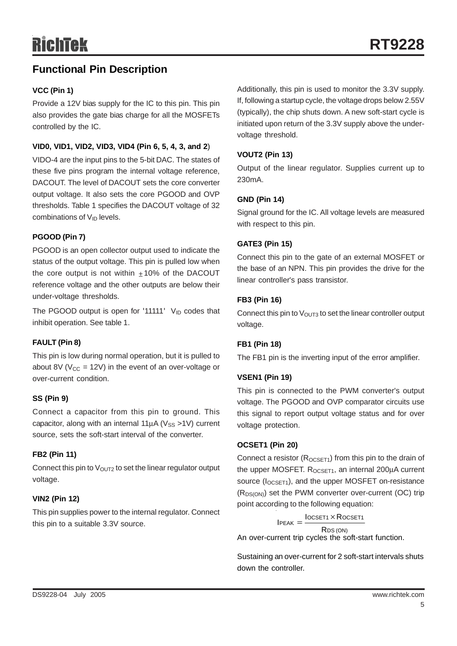## **Functional Pin Description**

#### **VCC (Pin 1)**

Provide a 12V bias supply for the IC to this pin. This pin also provides the gate bias charge for all the MOSFETs controlled by the IC.

#### **VID0, VID1, VID2, VID3, VID4 (Pin 6, 5, 4, 3, and 2**)

VIDO-4 are the input pins to the 5-bit DAC. The states of these five pins program the internal voltage reference, DACOUT. The level of DACOUT sets the core converter output voltage. It also sets the core PGOOD and OVP thresholds. Table 1 specifies the DACOUT voltage of 32 combinations of V<sub>ID</sub> levels.

#### **PGOOD (Pin 7)**

PGOOD is an open collector output used to indicate the status of the output voltage. This pin is pulled low when the core output is not within  $\pm$  10% of the DACOUT reference voltage and the other outputs are below their under-voltage thresholds.

The PGOOD output is open for '11111'  $V_{ID}$  codes that inhibit operation. See table 1.

#### **FAULT (Pin 8)**

This pin is low during normal operation, but it is pulled to about 8V ( $V_{CC}$  = 12V) in the event of an over-voltage or over-current condition.

#### **SS (Pin 9)**

Connect a capacitor from this pin to ground. This capacitor, along with an internal  $11\mu$ A (V<sub>SS</sub> >1V) current source, sets the soft-start interval of the converter.

#### **FB2 (Pin 11)**

Connect this pin to  $V_{\text{OUT2}}$  to set the linear regulator output voltage.

#### **VIN2 (Pin 12)**

This pin supplies power to the internal regulator. Connect this pin to a suitable 3.3V source.

Additionally, this pin is used to monitor the 3.3V supply. If, following a startup cycle, the voltage drops below 2.55V (typically), the chip shuts down. A new soft-start cycle is initiated upon return of the 3.3V supply above the undervoltage threshold.

#### **VOUT2 (Pin 13)**

Output of the linear regulator. Supplies current up to 230mA.

#### **GND (Pin 14)**

Signal ground for the IC. All voltage levels are measured with respect to this pin.

#### **GATE3 (Pin 15)**

Connect this pin to the gate of an external MOSFET or the base of an NPN. This pin provides the drive for the linear controller's pass transistor.

#### **FB3 (Pin 16)**

Connect this pin to  $V<sub>OUT3</sub>$  to set the linear controller output voltage.

#### **FB1 (Pin 18)**

The FB1 pin is the inverting input of the error amplifier.

#### **VSEN1 (Pin 19)**

This pin is connected to the PWM converter's output voltage. The PGOOD and OVP comparator circuits use this signal to report output voltage status and for over voltage protection.

#### **OCSET1 (Pin 20)**

Connect a resistor  $(R_{OCSFT1})$  from this pin to the drain of the upper MOSFET. R<sub>OCSET1</sub>, an internal 200μA current source ( $I_{OCSET1}$ ), and the upper MOSFET on-resistance (R<sub>DS(ON)</sub>) set the PWM converter over-current (OC) trip point according to the following equation:

 $I$ PEAK =  $\frac{I$ OCSET1  $\times$  Rocset1

RDS (ON) An over-current trip cycles the soft-start function.

Sustaining an over-current for 2 soft-start intervals shuts down the controller.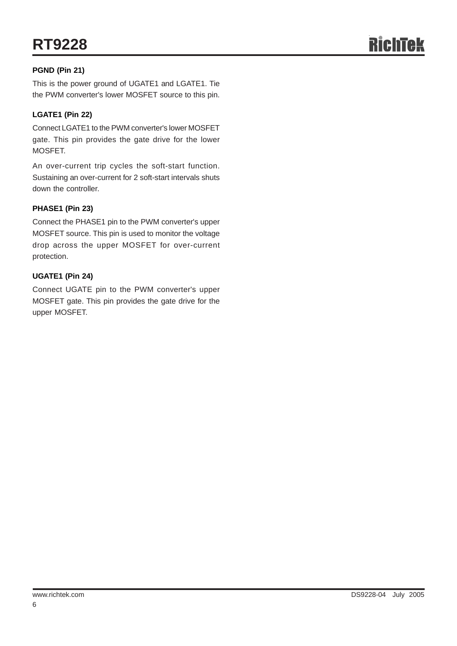#### **PGND (Pin 21)**

This is the power ground of UGATE1 and LGATE1. Tie the PWM converter's lower MOSFET source to this pin.

#### **LGATE1 (Pin 22)**

Connect LGATE1 to the PWM converter's lower MOSFET gate. This pin provides the gate drive for the lower MOSFET.

An over-current trip cycles the soft-start function. Sustaining an over-current for 2 soft-start intervals shuts down the controller.

#### **PHASE1 (Pin 23)**

Connect the PHASE1 pin to the PWM converter's upper MOSFET source. This pin is used to monitor the voltage drop across the upper MOSFET for over-current protection.

#### **UGATE1 (Pin 24)**

Connect UGATE pin to the PWM converter's upper MOSFET gate. This pin provides the gate drive for the upper MOSFET.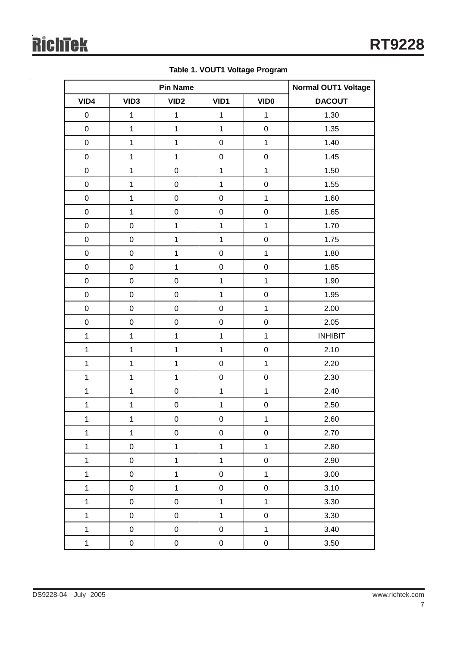l,

|              | <b>Pin Name</b>     |                  |                     | <b>Normal OUT1 Voltage</b> |                |
|--------------|---------------------|------------------|---------------------|----------------------------|----------------|
| VID4         | VID <sub>3</sub>    | VID <sub>2</sub> | VID1                | <b>VIDO</b>                | <b>DACOUT</b>  |
| $\mathbf 0$  | $\mathbf 1$         | $\mathbf{1}$     | $\mathbf{1}$        | $\mathbf{1}$               | 1.30           |
| $\mathbf 0$  | $\mathbf 1$         | $\mathbf{1}$     | $\mathbf{1}$        | $\mathsf 0$                | 1.35           |
| $\pmb{0}$    | $\mathbf{1}$        | $\mathbf{1}$     | $\pmb{0}$           | $\mathbf 1$                | 1.40           |
| $\mathbf 0$  | $\mathbf 1$         | $\mathbf 1$      | $\pmb{0}$           | $\mathsf 0$                | 1.45           |
| $\pmb{0}$    | $\mathbf{1}$        | $\pmb{0}$        | $\mathbf{1}$        | $\mathbf{1}$               | 1.50           |
| $\mathbf 0$  | $\mathbf 1$         | $\pmb{0}$        | $\mathbf{1}$        | $\mathsf 0$                | 1.55           |
| $\pmb{0}$    | $\mathbf{1}$        | $\pmb{0}$        | $\pmb{0}$           | $\mathbf{1}$               | 1.60           |
| $\mathbf 0$  | $\mathbf 1$         | $\mathbf 0$      | $\pmb{0}$           | $\mathsf 0$                | 1.65           |
| $\pmb{0}$    | $\mathsf 0$         | $\mathbf{1}$     | $\mathbf{1}$        | $\mathbf{1}$               | 1.70           |
| $\mathbf 0$  | $\mathsf 0$         | $\mathbf 1$      | $\mathbf{1}$        | $\mathsf 0$                | 1.75           |
| $\pmb{0}$    | 0                   | $\mathbf 1$      | $\pmb{0}$           | $\mathbf{1}$               | 1.80           |
| $\mathbf 0$  | $\mathsf 0$         | $\mathbf 1$      | $\mathsf 0$         | $\mathsf 0$                | 1.85           |
| $\pmb{0}$    | 0                   | $\pmb{0}$        | $\mathbf{1}$        | $\mathbf{1}$               | 1.90           |
| $\mathbf 0$  | $\mathsf 0$         | $\pmb{0}$        | $\mathbf{1}$        | $\mathsf 0$                | 1.95           |
| $\pmb{0}$    | 0                   | $\pmb{0}$        | $\pmb{0}$           | $\mathbf 1$                | 2.00           |
| $\mathbf 0$  | $\mathsf 0$         | $\pmb{0}$        | $\mathsf 0$         | $\mathsf 0$                | 2.05           |
| $\mathbf{1}$ | $\mathbf{1}$        | $\mathbf{1}$     | $\mathbf{1}$        | $\mathbf 1$                | <b>INHIBIT</b> |
| $\mathbf{1}$ | $\mathbf 1$         | $\mathbf 1$      | $\mathbf{1}$        | $\mathsf 0$                | 2.10           |
| $\mathbf{1}$ | $\mathbf{1}$        | $\mathbf 1$      | $\pmb{0}$           | $\mathbf 1$                | 2.20           |
| $\mathbf 1$  | $\mathbf 1$         | $\mathbf{1}$     | $\mathsf 0$         | $\mathsf 0$                | 2.30           |
| $\mathbf{1}$ | $\mathbf{1}$        | $\pmb{0}$        | $\mathbf{1}$        | $\mathbf 1$                | 2.40           |
| $\mathbf 1$  | $\mathbf 1$         | $\mathbf 0$      | $\mathbf 1$         | $\mathsf 0$                | 2.50           |
| $\mathbf 1$  | $\mathbf{1}$        | $\pmb{0}$        | $\pmb{0}$           | $\mathbf{1}$               | 2.60           |
| $\mathbf 1$  | $\mathbf{1}$        | $\mathbf 0$      | $\mathsf{O}\xspace$ | $\mathsf 0$                | 2.70           |
| $\mathbf 1$  | $\mathsf{O}\xspace$ | $\mathbf{1}$     | $\mathbf{1}$        | $\overline{1}$             | 2.80           |
| $\mathbf{1}$ | $\boldsymbol{0}$    | $\mathbf{1}$     | $\mathbf{1}$        | $\mathsf 0$                | 2.90           |
| $\mathbf{1}$ | $\mathbf 0$         | $\mathbf{1}$     | $\mathbf 0$         | $\mathbf{1}$               | $3.00\,$       |
| $\mathbf{1}$ | $\boldsymbol{0}$    | $\mathbf 1$      | $\mathsf 0$         | $\mathsf 0$                | 3.10           |
| $\mathbf{1}$ | $\mathbf 0$         | $\pmb{0}$        | $\mathbf{1}$        | $\mathbf{1}$               | 3.30           |
| $\mathbf{1}$ | $\boldsymbol{0}$    | $\pmb{0}$        | $\mathbf{1}$        | $\mathsf 0$                | 3.30           |
| $\mathbf{1}$ | $\mathbf 0$         | $\mathbf 0$      | $\mathbf 0$         | $\overline{1}$             | 3.40           |
| $\mathbf{1}$ | $\pmb{0}$           | $\pmb{0}$        | $\pmb{0}$           | $\pmb{0}$                  | 3.50           |

**Table 1. VOUT1 Voltage Program**